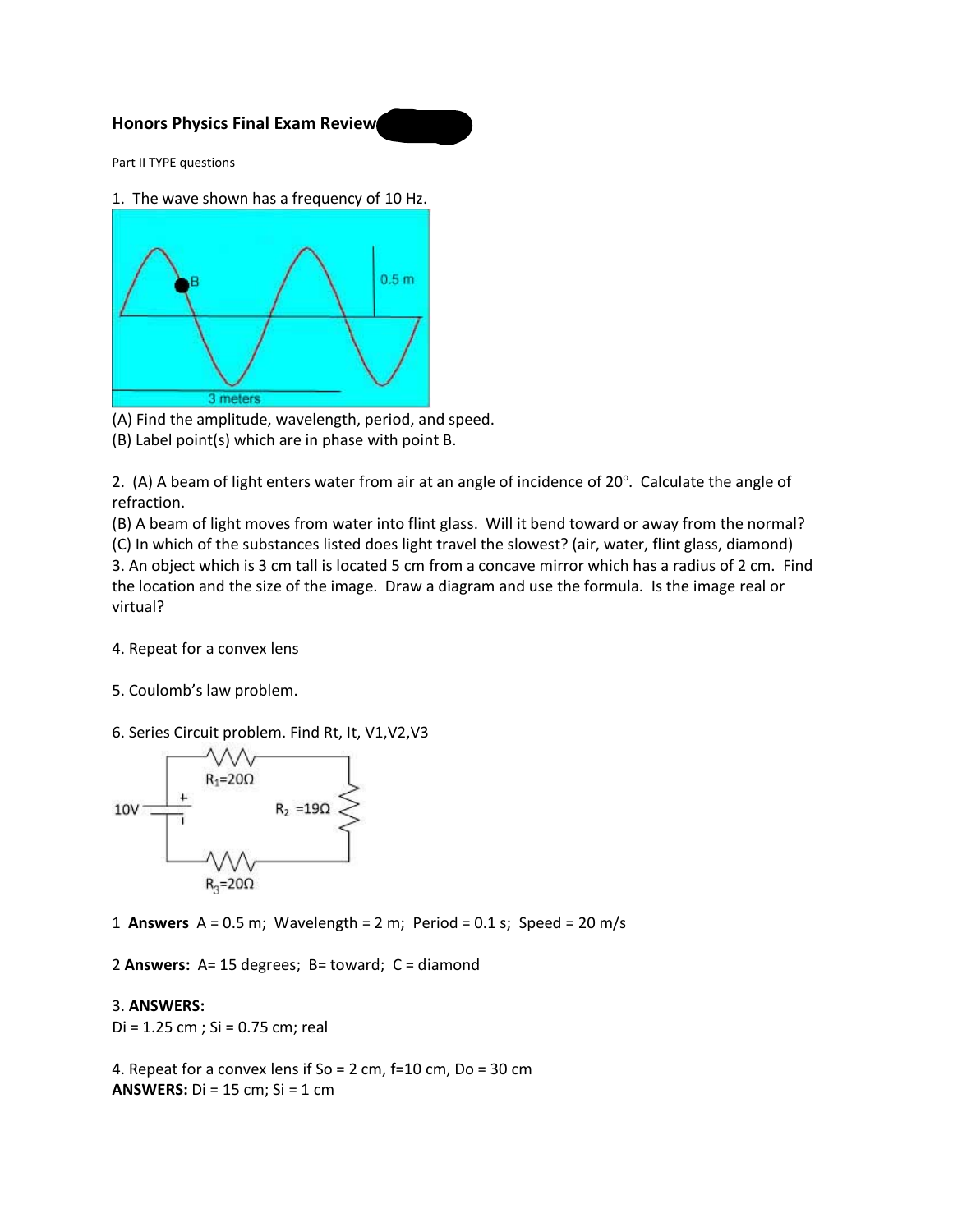## **Honors Physics Final Exam Review**

Part II TYPE questions

1. The wave shown has a frequency of 10 Hz.



(A) Find the amplitude, wavelength, period, and speed.

(B) Label point(s) which are in phase with point B.

2. (A) A beam of light enters water from air at an angle of incidence of  $20^\circ$ . Calculate the angle of refraction.

(B) A beam of light moves from water into flint glass. Will it bend toward or away from the normal? (C) In which of the substances listed does light travel the slowest? (air, water, flint glass, diamond) 3. An object which is 3 cm tall is located 5 cm from a concave mirror which has a radius of 2 cm. Find the location and the size of the image. Draw a diagram and use the formula. Is the image real or virtual?

- 4. Repeat for a convex lens
- 5. Coulomb's law problem.
- 6. Series Circuit problem. Find Rt, It, V1,V2,V3



1 **Answers** A = 0.5 m; Wavelength = 2 m; Period = 0.1 s; Speed = 20 m/s

2 **Answers:** A= 15 degrees; B= toward; C = diamond

## 3. **ANSWERS:**

Di = 1.25 cm ; Si = 0.75 cm; real

4. Repeat for a convex lens if So = 2 cm, f=10 cm, Do = 30 cm **ANSWERS:** Di = 15 cm; Si = 1 cm